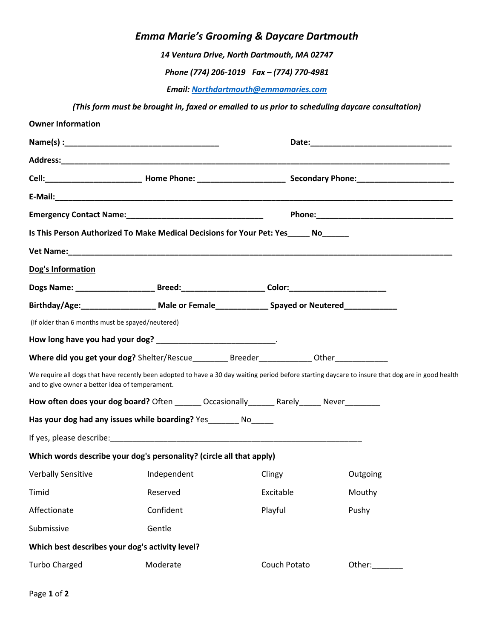## *Emma Marie's Grooming & Daycare Dartmouth*

*14 Ventura Drive, North Dartmouth, MA 02747*

*Phone (774) 206-1019 Fax – (774) 770-4981*

*Email[: Northdartmouth@emmamaries.com](mailto:Northdartmouth@emmamaries.com)*

*(This form must be brought in, faxed or emailed to us prior to scheduling daycare consultation)* 

| <b>Owner Information</b>                         |                                                                                                           |              |                                                                                                                                                                                                                                |  |
|--------------------------------------------------|-----------------------------------------------------------------------------------------------------------|--------------|--------------------------------------------------------------------------------------------------------------------------------------------------------------------------------------------------------------------------------|--|
|                                                  |                                                                                                           |              | Date: Note: The Commission of the Commission of the Commission of the Commission of the Commission of the Commission of the Commission of the Commission of the Commission of the Commission of the Commission of the Commissi |  |
|                                                  |                                                                                                           |              |                                                                                                                                                                                                                                |  |
|                                                  |                                                                                                           |              |                                                                                                                                                                                                                                |  |
|                                                  |                                                                                                           |              |                                                                                                                                                                                                                                |  |
| Emergency Contact Name: Names                    |                                                                                                           |              |                                                                                                                                                                                                                                |  |
|                                                  | Is This Person Authorized To Make Medical Decisions for Your Pet: Yes______ No_______                     |              |                                                                                                                                                                                                                                |  |
|                                                  |                                                                                                           |              |                                                                                                                                                                                                                                |  |
| Dog's Information                                |                                                                                                           |              |                                                                                                                                                                                                                                |  |
|                                                  | Dogs Name: ____________________________Breed:__________________________Color:____________________________ |              |                                                                                                                                                                                                                                |  |
|                                                  | Birthday/Age: Male or Female Communicator Neutered                                                        |              |                                                                                                                                                                                                                                |  |
| (If older than 6 months must be spayed/neutered) |                                                                                                           |              |                                                                                                                                                                                                                                |  |
|                                                  | How long have you had your dog? _____________________________.                                            |              |                                                                                                                                                                                                                                |  |
|                                                  |                                                                                                           |              |                                                                                                                                                                                                                                |  |
| and to give owner a better idea of temperament.  |                                                                                                           |              | We require all dogs that have recently been adopted to have a 30 day waiting period before starting daycare to insure that dog are in good health                                                                              |  |
|                                                  | How often does your dog board? Often _______ Occasionally_______ Rarely_____ Never________                |              |                                                                                                                                                                                                                                |  |
|                                                  | Has your dog had any issues while boarding? Yes________ No_____                                           |              |                                                                                                                                                                                                                                |  |
|                                                  |                                                                                                           |              |                                                                                                                                                                                                                                |  |
|                                                  | Which words describe your dog's personality? (circle all that apply)                                      |              |                                                                                                                                                                                                                                |  |
| <b>Verbally Sensitive</b>                        | Independent                                                                                               | Clingy       | Outgoing                                                                                                                                                                                                                       |  |
| Timid                                            | Reserved                                                                                                  | Excitable    | Mouthy                                                                                                                                                                                                                         |  |
| Affectionate                                     | Confident                                                                                                 | Playful      | Pushy                                                                                                                                                                                                                          |  |
| Submissive                                       | Gentle                                                                                                    |              |                                                                                                                                                                                                                                |  |
| Which best describes your dog's activity level?  |                                                                                                           |              |                                                                                                                                                                                                                                |  |
| <b>Turbo Charged</b>                             | Moderate                                                                                                  | Couch Potato | Other:                                                                                                                                                                                                                         |  |